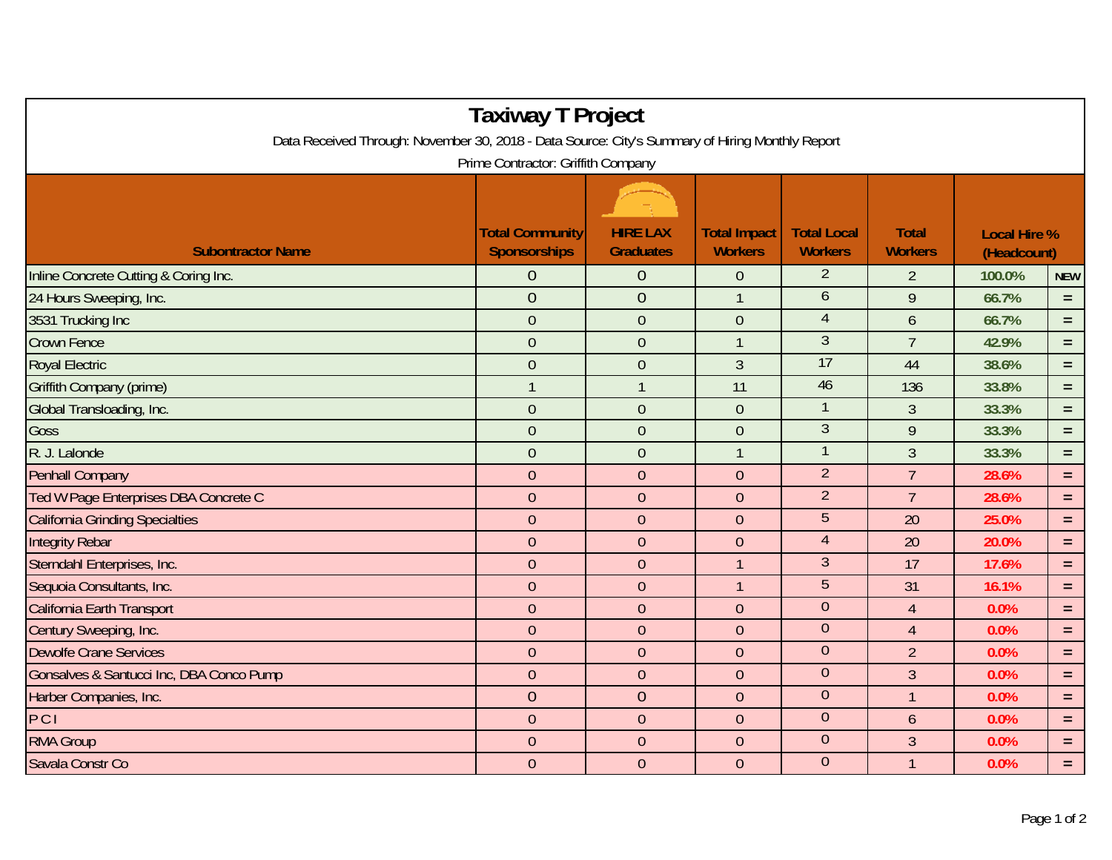| <b>Taxiway T Project</b><br>Data Received Through: November 30, 2018 - Data Source: City's Summary of Hiring Monthly Report<br>Prime Contractor: Griffith Company |                |                  |                  |                  |                  |        |            |  |  |  |  |  |
|-------------------------------------------------------------------------------------------------------------------------------------------------------------------|----------------|------------------|------------------|------------------|------------------|--------|------------|--|--|--|--|--|
|                                                                                                                                                                   |                |                  |                  |                  |                  |        |            |  |  |  |  |  |
| Inline Concrete Cutting & Coring Inc.                                                                                                                             | $\theta$       | $\overline{0}$   | $\overline{0}$   | $\overline{2}$   | $\overline{2}$   | 100.0% | <b>NEW</b> |  |  |  |  |  |
| 24 Hours Sweeping, Inc.                                                                                                                                           | $\overline{0}$ | $\overline{0}$   | 1                | 6                | $\boldsymbol{9}$ | 66.7%  | $=$        |  |  |  |  |  |
| 3531 Trucking Inc                                                                                                                                                 | $\mathbf{0}$   | $\mathbf 0$      | $\mathbf 0$      | $\overline{4}$   | $\boldsymbol{6}$ | 66.7%  | $=$        |  |  |  |  |  |
| <b>Crown Fence</b>                                                                                                                                                | $\mathbf{0}$   | $\overline{0}$   | $\mathbf{1}$     | $\overline{3}$   | $\overline{7}$   | 42.9%  | $=$        |  |  |  |  |  |
| <b>Royal Electric</b>                                                                                                                                             | $\overline{0}$ | $\overline{0}$   | 3                | 17               | 44               | 38.6%  | $=$        |  |  |  |  |  |
| Griffith Company (prime)                                                                                                                                          | $\mathbf{1}$   | $\overline{1}$   | 11               | 46               | 136              | 33.8%  | $\equiv$   |  |  |  |  |  |
| Global Transloading, Inc.                                                                                                                                         | $\mathbf{0}$   | $\overline{0}$   | $\mathbf 0$      | $\mathbf{1}$     | 3                | 33.3%  | $=$        |  |  |  |  |  |
| Goss                                                                                                                                                              | $\overline{0}$ | $\overline{0}$   | $\boldsymbol{0}$ | $\mathfrak{Z}$   | 9                | 33.3%  | $\equiv$   |  |  |  |  |  |
| R. J. Lalonde                                                                                                                                                     | $\overline{0}$ | $\overline{0}$   | $\mathbf{1}$     | $\mathbf{1}$     | $\overline{3}$   | 33.3%  | $=$        |  |  |  |  |  |
| <b>Penhall Company</b>                                                                                                                                            | $\overline{0}$ | $\mathbf{0}$     | $\overline{0}$   | $\overline{2}$   | $\overline{7}$   | 28.6%  | $=$        |  |  |  |  |  |
| Ted W Page Enterprises DBA Concrete C                                                                                                                             | $\theta$       | $\boldsymbol{0}$ | $\mathbf 0$      | $\overline{2}$   | $\overline{7}$   | 28.6%  | $=$        |  |  |  |  |  |
| <b>California Grinding Specialties</b>                                                                                                                            | $\mathbf{0}$   | $\overline{0}$   | $\overline{0}$   | $5\phantom{.}$   | 20               | 25.0%  | $\equiv$   |  |  |  |  |  |
| <b>Integrity Rebar</b>                                                                                                                                            | $\overline{0}$ | $\overline{0}$   | $\overline{0}$   | $\overline{4}$   | 20               | 20.0%  | $=$        |  |  |  |  |  |
| Sterndahl Enterprises, Inc.                                                                                                                                       | $\overline{0}$ | $\overline{0}$   | $\mathbf{1}$     | $\mathfrak{Z}$   | 17               | 17.6%  | $=$        |  |  |  |  |  |
| Sequoia Consultants, Inc.                                                                                                                                         | $\overline{0}$ | $\overline{0}$   | $\mathbf{1}$     | 5                | 31               | 16.1%  | $=$        |  |  |  |  |  |
| California Earth Transport                                                                                                                                        | $\overline{0}$ | $\boldsymbol{0}$ | $\mathbf 0$      | $\mathbf{0}$     | $\overline{4}$   | 0.0%   | $=$        |  |  |  |  |  |
| Century Sweeping, Inc.                                                                                                                                            | $\theta$       | $\overline{0}$   | $\overline{0}$   | $\boldsymbol{0}$ | $\overline{4}$   | 0.0%   | $=$        |  |  |  |  |  |
| <b>Dewolfe Crane Services</b>                                                                                                                                     | $\mathbf{0}$   | $\overline{0}$   | $\overline{0}$   | $\overline{0}$   | $\overline{2}$   | 0.0%   | $=$        |  |  |  |  |  |
| Gonsalves & Santucci Inc, DBA Conco Pump                                                                                                                          | $\overline{0}$ | $\overline{0}$   | $\overline{0}$   | $\overline{0}$   | $\overline{3}$   | 0.0%   | $=$        |  |  |  |  |  |
| Harber Companies, Inc.                                                                                                                                            | $\overline{0}$ | $\overline{0}$   | $\overline{0}$   | $\overline{0}$   | $\mathbf{1}$     | 0.0%   | $=$        |  |  |  |  |  |
| PCI                                                                                                                                                               | $\overline{0}$ | $\overline{0}$   | $\mathbf 0$      | $\mathbf{0}$     | 6                | 0.0%   | $=$        |  |  |  |  |  |
| <b>RMA Group</b>                                                                                                                                                  | $\overline{0}$ | $\mathbf{0}$     | $\mathbf 0$      | $\boldsymbol{0}$ | 3                | 0.0%   | $\equiv$   |  |  |  |  |  |
| Savala Constr Co                                                                                                                                                  | $\overline{0}$ | $\overline{0}$   | $\overline{0}$   | $\overline{0}$   | $\mathbf{1}$     | 0.0%   | $=$        |  |  |  |  |  |